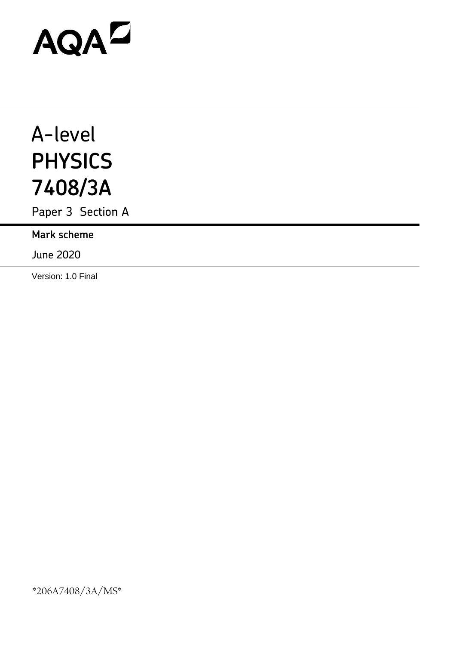# AQAD

## A-level **PHYSICS 7408/3A**

Paper 3 Section A

**Mark scheme**

June 2020

Version: 1.0 Final

\*206A7408/3A/MS\*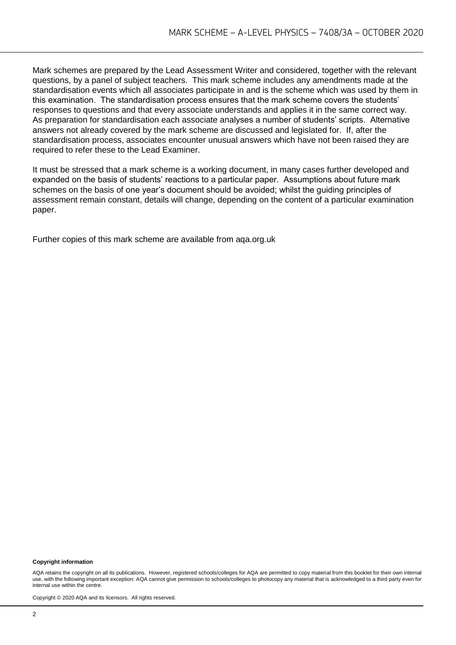Mark schemes are prepared by the Lead Assessment Writer and considered, together with the relevant questions, by a panel of subject teachers. This mark scheme includes any amendments made at the standardisation events which all associates participate in and is the scheme which was used by them in this examination. The standardisation process ensures that the mark scheme covers the students' responses to questions and that every associate understands and applies it in the same correct way. As preparation for standardisation each associate analyses a number of students' scripts. Alternative answers not already covered by the mark scheme are discussed and legislated for. If, after the standardisation process, associates encounter unusual answers which have not been raised they are required to refer these to the Lead Examiner.

It must be stressed that a mark scheme is a working document, in many cases further developed and expanded on the basis of students' reactions to a particular paper. Assumptions about future mark schemes on the basis of one year's document should be avoided; whilst the guiding principles of assessment remain constant, details will change, depending on the content of a particular examination paper.

Further copies of this mark scheme are available from aqa.org.uk

#### **Copyright information**

AQA retains the copyright on all its publications. However, registered schools/colleges for AQA are permitted to copy material from this booklet for their own internal use, with the following important exception: AQA cannot give permission to schools/colleges to photocopy any material that is acknowledged to a third party even for internal use within the centre.

Copyright © 2020 AQA and its licensors. All rights reserved.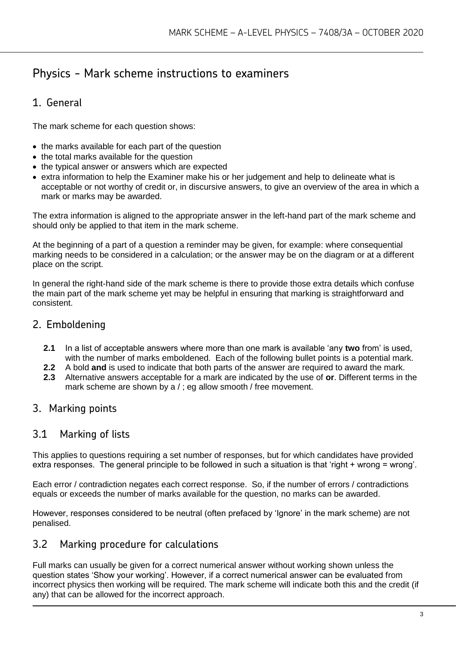### Physics - Mark scheme instructions to examiners

#### 1. General

The mark scheme for each question shows:

- the marks available for each part of the question
- the total marks available for the question
- the typical answer or answers which are expected
- extra information to help the Examiner make his or her judgement and help to delineate what is acceptable or not worthy of credit or, in discursive answers, to give an overview of the area in which a mark or marks may be awarded.

The extra information is aligned to the appropriate answer in the left-hand part of the mark scheme and should only be applied to that item in the mark scheme.

At the beginning of a part of a question a reminder may be given, for example: where consequential marking needs to be considered in a calculation; or the answer may be on the diagram or at a different place on the script.

In general the right-hand side of the mark scheme is there to provide those extra details which confuse the main part of the mark scheme yet may be helpful in ensuring that marking is straightforward and consistent.

#### 2. Emboldening

- **2.1** In a list of acceptable answers where more than one mark is available 'any **two** from' is used, with the number of marks emboldened. Each of the following bullet points is a potential mark.
- **2.2** A bold **and** is used to indicate that both parts of the answer are required to award the mark.
- **2.3** Alternative answers acceptable for a mark are indicated by the use of **or**. Different terms in the mark scheme are shown by a / ; eg allow smooth / free movement.

#### 3. Marking points

#### 3.1 Marking of lists

This applies to questions requiring a set number of responses, but for which candidates have provided extra responses. The general principle to be followed in such a situation is that 'right + wrong = wrong'.

Each error / contradiction negates each correct response. So, if the number of errors / contradictions equals or exceeds the number of marks available for the question, no marks can be awarded.

However, responses considered to be neutral (often prefaced by 'Ignore' in the mark scheme) are not penalised.

#### 3.2 Marking procedure for calculations

Full marks can usually be given for a correct numerical answer without working shown unless the question states 'Show your working'. However, if a correct numerical answer can be evaluated from incorrect physics then working will be required. The mark scheme will indicate both this and the credit (if any) that can be allowed for the incorrect approach.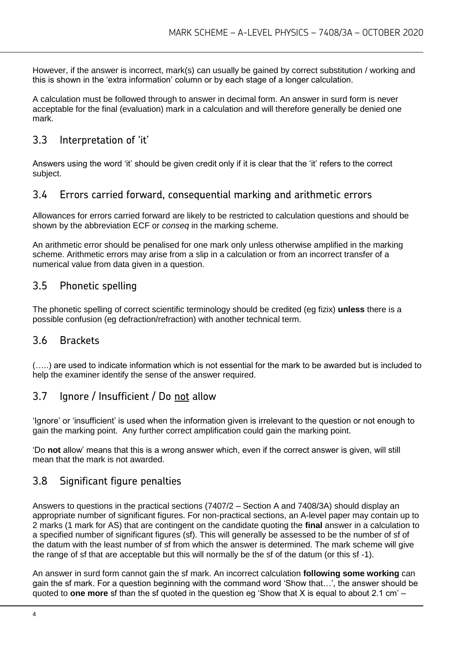However, if the answer is incorrect, mark(s) can usually be gained by correct substitution / working and this is shown in the 'extra information' column or by each stage of a longer calculation.

A calculation must be followed through to answer in decimal form. An answer in surd form is never acceptable for the final (evaluation) mark in a calculation and will therefore generally be denied one mark.

#### 3.3 Interpretation of 'it'

Answers using the word 'it' should be given credit only if it is clear that the 'it' refers to the correct subject.

#### 3.4 Errors carried forward, consequential marking and arithmetic errors

Allowances for errors carried forward are likely to be restricted to calculation questions and should be shown by the abbreviation ECF or *conseq* in the marking scheme.

An arithmetic error should be penalised for one mark only unless otherwise amplified in the marking scheme. Arithmetic errors may arise from a slip in a calculation or from an incorrect transfer of a numerical value from data given in a question.

#### 3.5 Phonetic spelling

The phonetic spelling of correct scientific terminology should be credited (eg fizix) **unless** there is a possible confusion (eg defraction/refraction) with another technical term.

#### 3.6 Brackets

(…..) are used to indicate information which is not essential for the mark to be awarded but is included to help the examiner identify the sense of the answer required.

#### 3.7 Ignore / Insufficient / Do not allow

'Ignore' or 'insufficient' is used when the information given is irrelevant to the question or not enough to gain the marking point. Any further correct amplification could gain the marking point.

'Do **not** allow' means that this is a wrong answer which, even if the correct answer is given, will still mean that the mark is not awarded.

#### 3.8 Significant figure penalties

Answers to questions in the practical sections (7407/2 – Section A and 7408/3A) should display an appropriate number of significant figures. For non-practical sections, an A-level paper may contain up to 2 marks (1 mark for AS) that are contingent on the candidate quoting the **final** answer in a calculation to a specified number of significant figures (sf). This will generally be assessed to be the number of sf of the datum with the least number of sf from which the answer is determined. The mark scheme will give the range of sf that are acceptable but this will normally be the sf of the datum (or this sf -1).

An answer in surd form cannot gain the sf mark. An incorrect calculation **following some working** can gain the sf mark. For a question beginning with the command word 'Show that…', the answer should be quoted to **one more** sf than the sf quoted in the question eg 'Show that X is equal to about 2.1 cm' –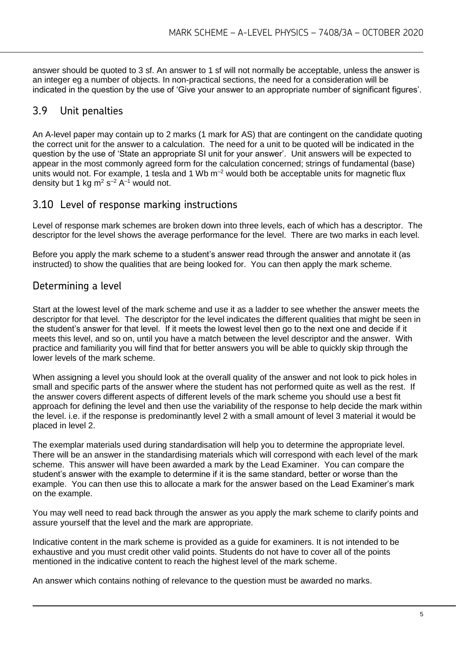answer should be quoted to 3 sf. An answer to 1 sf will not normally be acceptable, unless the answer is an integer eg a number of objects. In non-practical sections, the need for a consideration will be indicated in the question by the use of 'Give your answer to an appropriate number of significant figures'.

#### 3.9 Unit penalties

An A-level paper may contain up to 2 marks (1 mark for AS) that are contingent on the candidate quoting the correct unit for the answer to a calculation. The need for a unit to be quoted will be indicated in the question by the use of 'State an appropriate SI unit for your answer'. Unit answers will be expected to appear in the most commonly agreed form for the calculation concerned; strings of fundamental (base) units would not. For example, 1 tesla and 1 Wb  $m^{-2}$  would both be acceptable units for magnetic flux density but 1 kg m<sup>2</sup> s<sup>-2</sup> A<sup>-1</sup> would not.

#### 3.10 Level of response marking instructions

Level of response mark schemes are broken down into three levels, each of which has a descriptor. The descriptor for the level shows the average performance for the level. There are two marks in each level.

Before you apply the mark scheme to a student's answer read through the answer and annotate it (as instructed) to show the qualities that are being looked for. You can then apply the mark scheme.

#### Determining a level

Start at the lowest level of the mark scheme and use it as a ladder to see whether the answer meets the descriptor for that level. The descriptor for the level indicates the different qualities that might be seen in the student's answer for that level. If it meets the lowest level then go to the next one and decide if it meets this level, and so on, until you have a match between the level descriptor and the answer. With practice and familiarity you will find that for better answers you will be able to quickly skip through the lower levels of the mark scheme.

When assigning a level you should look at the overall quality of the answer and not look to pick holes in small and specific parts of the answer where the student has not performed quite as well as the rest. If the answer covers different aspects of different levels of the mark scheme you should use a best fit approach for defining the level and then use the variability of the response to help decide the mark within the level. i.e. if the response is predominantly level 2 with a small amount of level 3 material it would be placed in level 2.

The exemplar materials used during standardisation will help you to determine the appropriate level. There will be an answer in the standardising materials which will correspond with each level of the mark scheme. This answer will have been awarded a mark by the Lead Examiner. You can compare the student's answer with the example to determine if it is the same standard, better or worse than the example. You can then use this to allocate a mark for the answer based on the Lead Examiner's mark on the example.

You may well need to read back through the answer as you apply the mark scheme to clarify points and assure yourself that the level and the mark are appropriate.

Indicative content in the mark scheme is provided as a guide for examiners. It is not intended to be exhaustive and you must credit other valid points. Students do not have to cover all of the points mentioned in the indicative content to reach the highest level of the mark scheme.

An answer which contains nothing of relevance to the question must be awarded no marks.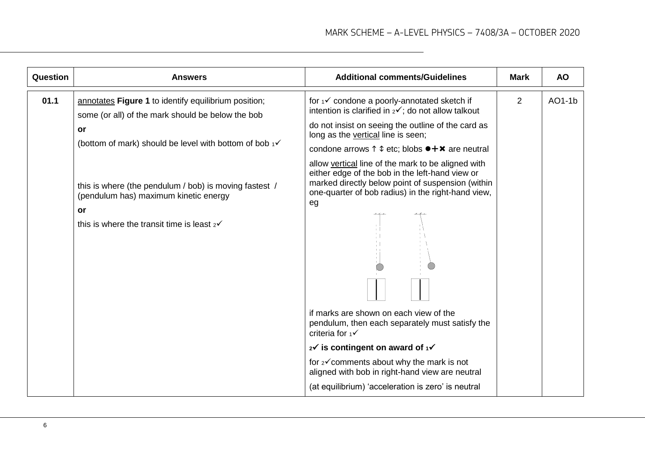| Question | <b>Answers</b>                                                                                                                                                 | <b>Additional comments/Guidelines</b>                                                                                                                                                                                  | <b>Mark</b>    | <b>AO</b> |
|----------|----------------------------------------------------------------------------------------------------------------------------------------------------------------|------------------------------------------------------------------------------------------------------------------------------------------------------------------------------------------------------------------------|----------------|-----------|
| 01.1     | annotates Figure 1 to identify equilibrium position;<br>some (or all) of the mark should be below the bob                                                      | for 1√ condone a poorly-annotated sketch if<br>intention is clarified in $2\checkmark$ ; do not allow talkout                                                                                                          | $\overline{2}$ | AO1-1b    |
|          | or                                                                                                                                                             | do not insist on seeing the outline of the card as<br>long as the vertical line is seen;                                                                                                                               |                |           |
|          | (bottom of mark) should be level with bottom of bob $1\checkmark$                                                                                              | condone arrows $\uparrow \updownarrow$ etc; blobs $\bullet + \times$ are neutral                                                                                                                                       |                |           |
|          | this is where (the pendulum / bob) is moving fastest /<br>(pendulum has) maximum kinetic energy<br>or<br>this is where the transit time is least $2\checkmark$ | allow vertical line of the mark to be aligned with<br>either edge of the bob in the left-hand view or<br>marked directly below point of suspension (within<br>one-quarter of bob radius) in the right-hand view,<br>eg |                |           |
|          |                                                                                                                                                                | if marks are shown on each view of the<br>pendulum, then each separately must satisfy the<br>criteria for $1\checkmark$                                                                                                |                |           |
|          |                                                                                                                                                                | 2√ is contingent on award of 1√                                                                                                                                                                                        |                |           |
|          |                                                                                                                                                                | for 2√ comments about why the mark is not<br>aligned with bob in right-hand view are neutral                                                                                                                           |                |           |
|          |                                                                                                                                                                | (at equilibrium) 'acceleration is zero' is neutral                                                                                                                                                                     |                |           |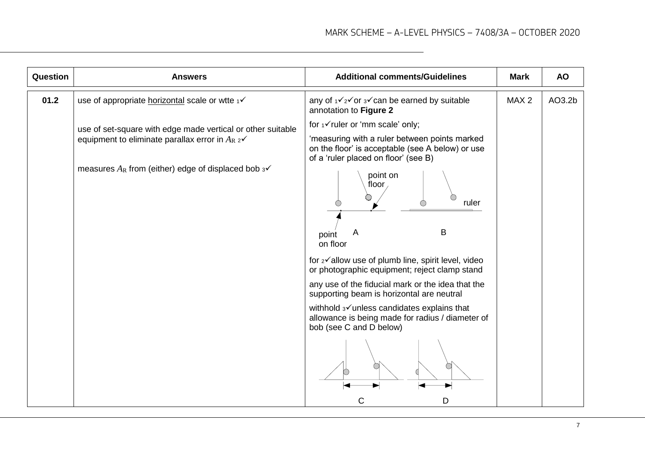| Question | <b>Answers</b>                                                                                                                                                                                 | <b>Additional comments/Guidelines</b>                                                                                                                                                                                                                                                                                                                              | <b>Mark</b>      | <b>AO</b> |
|----------|------------------------------------------------------------------------------------------------------------------------------------------------------------------------------------------------|--------------------------------------------------------------------------------------------------------------------------------------------------------------------------------------------------------------------------------------------------------------------------------------------------------------------------------------------------------------------|------------------|-----------|
| 01.2     | use of appropriate horizontal scale or wtte 1√                                                                                                                                                 | any of $1\sqrt{2}\sqrt{2}$ or $3\sqrt{2}$ can be earned by suitable<br>annotation to Figure 2                                                                                                                                                                                                                                                                      | MAX <sub>2</sub> | AO3.2b    |
|          | use of set-square with edge made vertical or other suitable<br>equipment to eliminate parallax error in $A_R \, \text{2V}$<br>measures $A_R$ from (either) edge of displaced bob $3\checkmark$ | for 1√ ruler or 'mm scale' only;<br>'measuring with a ruler between points marked<br>on the floor' is acceptable (see A below) or use<br>of a 'ruler placed on floor' (see B)<br>point on<br>floor<br>ruler                                                                                                                                                        |                  |           |
|          |                                                                                                                                                                                                | B<br>A<br>point<br>on floor<br>for 2√allow use of plumb line, spirit level, video<br>or photographic equipment; reject clamp stand<br>any use of the fiducial mark or the idea that the<br>supporting beam is horizontal are neutral<br>withhold 3√ unless candidates explains that<br>allowance is being made for radius / diameter of<br>bob (see C and D below) |                  |           |
|          |                                                                                                                                                                                                | D                                                                                                                                                                                                                                                                                                                                                                  |                  |           |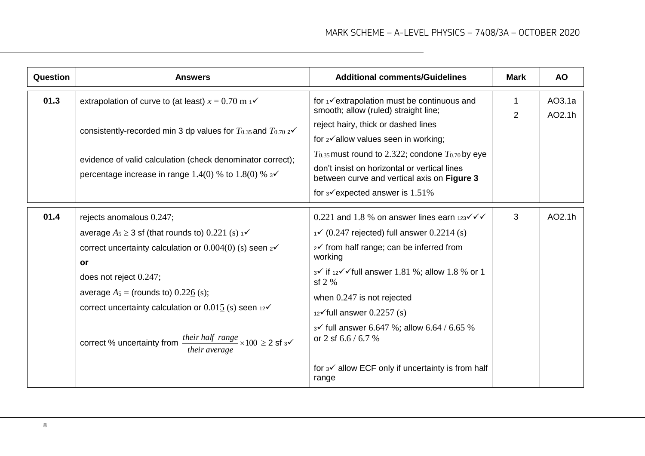| <b>Question</b> | <b>Answers</b>                                                                                                                                                                                                                                                                                                                                                                                                                      | <b>Additional comments/Guidelines</b>                                                                                                                                                                                                                                                                                                                                                                                                                                                                                                | <b>Mark</b> | <b>AO</b>        |
|-----------------|-------------------------------------------------------------------------------------------------------------------------------------------------------------------------------------------------------------------------------------------------------------------------------------------------------------------------------------------------------------------------------------------------------------------------------------|--------------------------------------------------------------------------------------------------------------------------------------------------------------------------------------------------------------------------------------------------------------------------------------------------------------------------------------------------------------------------------------------------------------------------------------------------------------------------------------------------------------------------------------|-------------|------------------|
| 01.3            | extrapolation of curve to (at least) $x = 0.70$ m $\frac{1}{10}$<br>consistently-recorded min 3 dp values for $T_{0.35}$ and $T_{0.70}$ $\alpha$<br>evidence of valid calculation (check denominator correct);<br>percentage increase in range 1.4(0) % to 1.8(0) % $3\checkmark$                                                                                                                                                   | for $\sqrt{\phantom{a}}$ extrapolation must be continuous and<br>smooth; allow (ruled) straight line;<br>reject hairy, thick or dashed lines<br>for 2√allow values seen in working;<br>$T_{0.35}$ must round to 2.322; condone $T_{0.70}$ by eye<br>don't insist on horizontal or vertical lines<br>between curve and vertical axis on Figure 3<br>for $3\checkmark$ expected answer is 1.51%                                                                                                                                        | 1<br>2      | AO3.1a<br>AO2.1h |
| 01.4            | rejects anomalous 0.247;<br>average $A_5 \geq 3$ sf (that rounds to) 0.221 (s) $1\checkmark$<br>correct uncertainty calculation or $0.004(0)$ (s) seen $2\checkmark$<br>or<br>does not reject 0.247;<br>average $A_5$ = (rounds to) 0.226 (s);<br>correct uncertainty calculation or $0.015$ (s) seen 12 $\checkmark$<br>their half range $\times 100 \ge 2$ sf $3\checkmark$<br>correct % uncertainty from<br><i>their average</i> | 0.221 and 1.8 % on answer lines earn $123 \checkmark \checkmark$<br>$\sqrt{(0.247 \text{ rejected})}$ full answer 0.2214 (s)<br>$2^{\checkmark}$ from half range; can be inferred from<br>working<br>$3\checkmark$ if $12\checkmark$ $\checkmark$ full answer 1.81 %; allow 1.8 % or 1<br>sf $2%$<br>when 0.247 is not rejected<br>$12\checkmark$ full answer 0.2257 (s)<br>$3\checkmark$ full answer 6.647 %; allow 6.64 / 6.65 %<br>or 2 sf $6.6 / 6.7 %$<br>for $3\checkmark$ allow ECF only if uncertainty is from half<br>range | 3           | AO2.1h           |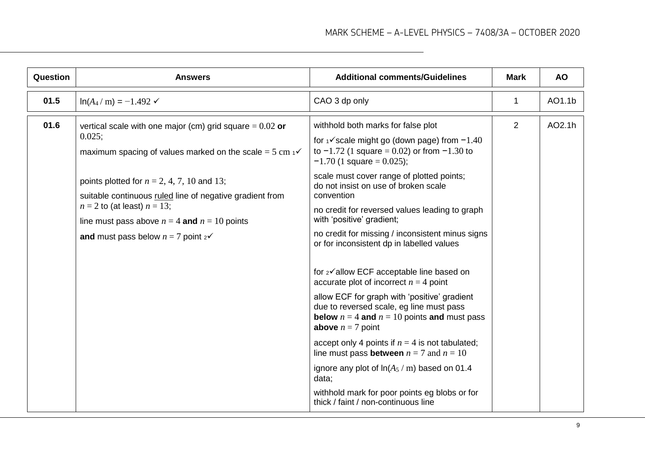| 01.5<br>$ln(A_4/m) = -1.492 \checkmark$<br>CAO 3 dp only<br>1<br>$\overline{2}$<br>01.6<br>withhold both marks for false plot<br>vertical scale with one major (cm) grid square = $0.02$ or<br>0.025;<br>for $\sqrt{s}$ cale might go (down page) from $-1.40$<br>to $-1.72$ (1 square = 0.02) or from $-1.30$ to<br>maximum spacing of values marked on the scale = $5 \text{ cm}$ $\checkmark$<br>$-1.70$ (1 square = 0.025);<br>scale must cover range of plotted points;<br>points plotted for $n = 2, 4, 7, 10$ and 13;<br>do not insist on use of broken scale<br>convention<br>suitable continuous ruled line of negative gradient from<br>$n = 2$ to (at least) $n = 13$ ;<br>no credit for reversed values leading to graph<br>with 'positive' gradient;<br>line must pass above $n = 4$ and $n = 10$ points<br>no credit for missing / inconsistent minus signs | Question | <b>Answers</b>                                  | <b>Additional comments/Guidelines</b> | <b>Mark</b> | <b>AO</b> |
|---------------------------------------------------------------------------------------------------------------------------------------------------------------------------------------------------------------------------------------------------------------------------------------------------------------------------------------------------------------------------------------------------------------------------------------------------------------------------------------------------------------------------------------------------------------------------------------------------------------------------------------------------------------------------------------------------------------------------------------------------------------------------------------------------------------------------------------------------------------------------|----------|-------------------------------------------------|---------------------------------------|-------------|-----------|
|                                                                                                                                                                                                                                                                                                                                                                                                                                                                                                                                                                                                                                                                                                                                                                                                                                                                           |          |                                                 |                                       |             | AO1.1b    |
| or for inconsistent dp in labelled values<br>for 2√allow ECF acceptable line based on<br>accurate plot of incorrect $n = 4$ point<br>allow ECF for graph with 'positive' gradient<br>due to reversed scale, eg line must pass<br><b>below</b> $n = 4$ and $n = 10$ points and must pass<br><b>above</b> $n = 7$ point<br>accept only 4 points if $n = 4$ is not tabulated;<br>line must pass <b>between</b> $n = 7$ and $n = 10$<br>ignore any plot of $ln(A_5 / m)$ based on 01.4<br>data;<br>withhold mark for poor points eg blobs or for                                                                                                                                                                                                                                                                                                                              |          | and must pass below $n = 7$ point $2\checkmark$ |                                       |             | AO2.1h    |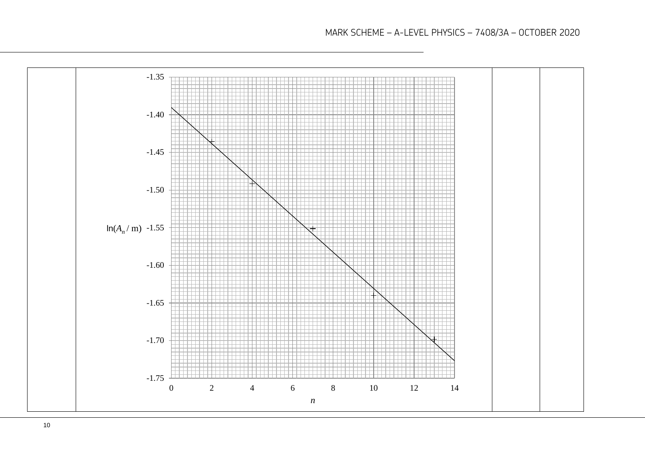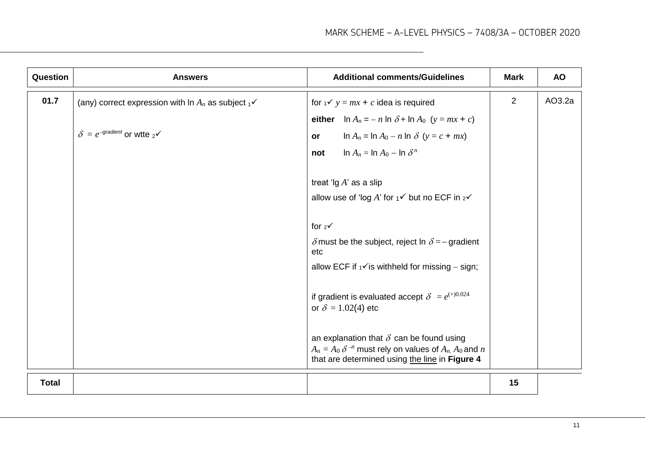| Question     | <b>Answers</b>                                                                                                                        | <b>Additional comments/Guidelines</b>                                                                                                                                                                                                                           | <b>Mark</b> | <b>AO</b> |
|--------------|---------------------------------------------------------------------------------------------------------------------------------------|-----------------------------------------------------------------------------------------------------------------------------------------------------------------------------------------------------------------------------------------------------------------|-------------|-----------|
| 01.7         | (any) correct expression with $A_n$ as subject $\frac{1}{1}$ $\checkmark$<br>$\delta = e^{-\text{gradient}}$ or wite $2^{\checkmark}$ | for $1 \vee y = mx + c$ idea is required<br>either $\ln A_n = -n \ln \delta + \ln A_0$ ( $y = mx + c$ )<br>$\ln A_n = \ln A_0 - n \ln \delta \quad (y = c + mx)$<br><b>or</b><br>$\ln A_n = \ln A_0 - \ln \delta^n$<br>not<br>treat ' $\lg A$ ' as a slip       | 2           | AO3.2a    |
|              |                                                                                                                                       | allow use of 'log A' for $1\check{ }$ but no ECF in $2\check{ }$<br>for $2\sqrt{ }$<br>$\delta$ must be the subject, reject In $\delta$ = - gradient<br>etc<br>allow ECF if $\sqrt{ }$ is withheld for missing – sign;                                          |             |           |
|              |                                                                                                                                       | if gradient is evaluated accept $\delta = e^{(+)0.024}$<br>or $\delta = 1.02(4)$ etc<br>an explanation that $\delta$ can be found using<br>$A_n = A_0 \delta^{-n}$ must rely on values of $A_n$ , $A_0$ and n<br>that are determined using the line in Figure 4 |             |           |
| <b>Total</b> |                                                                                                                                       |                                                                                                                                                                                                                                                                 | 15          |           |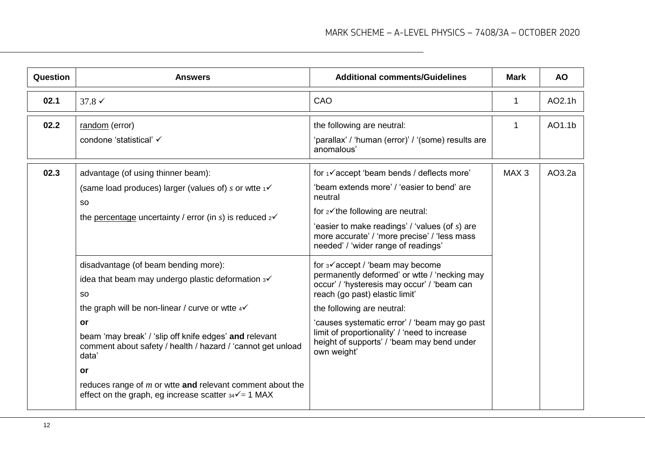| Question | <b>Answers</b>                                                                                                                                                                                                                                                                                                                                                                                                                                              | <b>Additional comments/Guidelines</b>                                                                                                                                                                                                                                                                                                                                     | <b>Mark</b>      | <b>AO</b> |
|----------|-------------------------------------------------------------------------------------------------------------------------------------------------------------------------------------------------------------------------------------------------------------------------------------------------------------------------------------------------------------------------------------------------------------------------------------------------------------|---------------------------------------------------------------------------------------------------------------------------------------------------------------------------------------------------------------------------------------------------------------------------------------------------------------------------------------------------------------------------|------------------|-----------|
| 02.1     | $37.8 \checkmark$                                                                                                                                                                                                                                                                                                                                                                                                                                           | CAO                                                                                                                                                                                                                                                                                                                                                                       | 1                | AO2.1h    |
| 02.2     | random (error)<br>condone 'statistical' √                                                                                                                                                                                                                                                                                                                                                                                                                   | the following are neutral:<br>'parallax' / 'human (error)' / '(some) results are<br>anomalous'                                                                                                                                                                                                                                                                            | 1                | AO1.1b    |
| 02.3     | advantage (of using thinner beam):<br>(same load produces) larger (values of) s or wite $\frac{1}{1}$<br><b>SO</b><br>the percentage uncertainty / error (in s) is reduced $2\checkmark$                                                                                                                                                                                                                                                                    | for 1√accept 'beam bends / deflects more'<br>'beam extends more' / 'easier to bend' are<br>neutral<br>for $2\checkmark$ the following are neutral:<br>'easier to make readings' / 'values (of $s$ ) are<br>more accurate' / 'more precise' / 'less mass<br>needed' / 'wider range of readings'                                                                            | MAX <sub>3</sub> | AO3.2a    |
|          | disadvantage (of beam bending more):<br>idea that beam may undergo plastic deformation $3\checkmark$<br><b>SO</b><br>the graph will be non-linear / curve or wite $4\checkmark$<br>or<br>beam 'may break' / 'slip off knife edges' and relevant<br>comment about safety / health / hazard / 'cannot get unload<br>data'<br>or<br>reduces range of $m$ or wite and relevant comment about the<br>effect on the graph, eg increase scatter $34\sqrt{ }=1$ MAX | for $3\checkmark$ accept / 'beam may become<br>permanently deformed' or wtte / 'necking may<br>occur' / 'hysteresis may occur' / 'beam can<br>reach (go past) elastic limit'<br>the following are neutral:<br>'causes systematic error' / 'beam may go past<br>limit of proportionality' / 'need to increase<br>height of supports' / 'beam may bend under<br>own weight' |                  |           |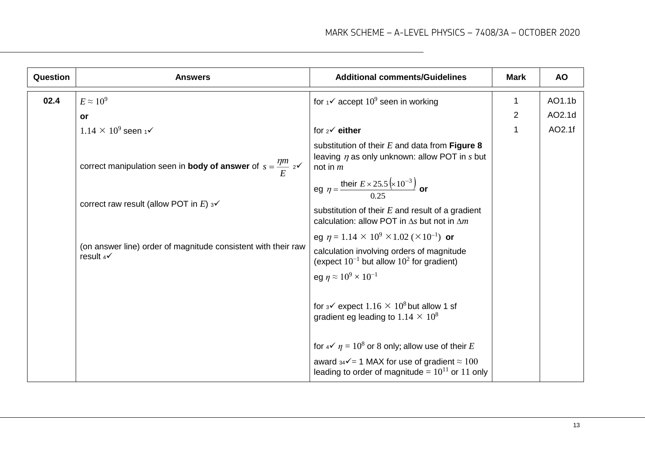| Question | <b>Answers</b>                                                                        | <b>Additional comments/Guidelines</b>                                                                                                                                                              | <b>Mark</b>    | <b>AO</b> |
|----------|---------------------------------------------------------------------------------------|----------------------------------------------------------------------------------------------------------------------------------------------------------------------------------------------------|----------------|-----------|
| 02.4     | $E \approx 10^9$                                                                      | for $1\checkmark$ accept $10^9$ seen in working                                                                                                                                                    | 1              | AO1.1b    |
|          | or                                                                                    |                                                                                                                                                                                                    | $\overline{2}$ | AO2.1d    |
|          | $1.14 \times 10^9$ seen 1 $\checkmark$                                                | for $2^{\checkmark}$ either                                                                                                                                                                        | 1              | AO2.1f    |
|          | correct manipulation seen in <b>body of answer</b> of $s = \frac{\eta m}{E} z^2$      | substitution of their $E$ and data from Figure 8<br>leaving $\eta$ as only unknown: allow POT in $s$ but<br>not in $m$                                                                             |                |           |
|          | correct raw result (allow POT in E) $3\checkmark$                                     | eg $\eta = \frac{\text{their } E \times 25.5 ( \times 10^{-3})}{0.25}$ or<br>substitution of their $E$ and result of a gradient<br>calculation: allow POT in $\Delta s$ but not in $\Delta m$      |                |           |
|          | (on answer line) order of magnitude consistent with their raw<br>result $4\checkmark$ | eg $\eta = 1.14 \times 10^9 \times 1.02 \times 10^{-1}$ or<br>calculation involving orders of magnitude<br>(expect $10^{-1}$ but allow $10^2$ for gradient)                                        |                |           |
|          |                                                                                       | eg $\eta \approx 10^9 \times 10^{-1}$<br>for $3\checkmark$ expect $1.16 \times 10^8$ but allow 1 sf<br>gradient eg leading to $1.14 \times 10^8$                                                   |                |           |
|          |                                                                                       | for $4\checkmark$ $\eta$ = 10 <sup>8</sup> or 8 only; allow use of their E<br>award $34\sqrt{ }$ = 1 MAX for use of gradient $\approx 100$<br>leading to order of magnitude = $10^{11}$ or 11 only |                |           |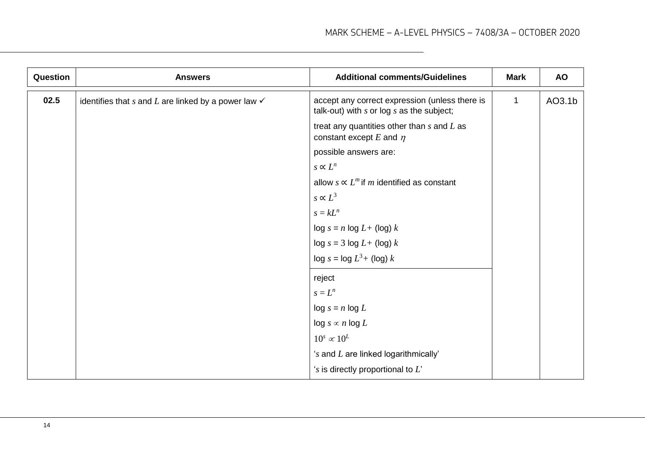| Question | <b>Answers</b>                                                     | <b>Additional comments/Guidelines</b>                                                           | <b>Mark</b>  | <b>AO</b> |
|----------|--------------------------------------------------------------------|-------------------------------------------------------------------------------------------------|--------------|-----------|
| 02.5     | identifies that $s$ and $L$ are linked by a power law $\checkmark$ | accept any correct expression (unless there is<br>talk-out) with $s$ or log $s$ as the subject; | $\mathbf{1}$ | AO3.1b    |
|          |                                                                    | treat any quantities other than $s$ and $L$ as<br>constant except $E$ and $\eta$                |              |           |
|          |                                                                    | possible answers are:                                                                           |              |           |
|          |                                                                    | $s \propto L^n$                                                                                 |              |           |
|          |                                                                    | allow $s \propto L^m$ if m identified as constant                                               |              |           |
|          |                                                                    | $s \propto L^3$                                                                                 |              |           |
|          |                                                                    | $s = kL^n$                                                                                      |              |           |
|          |                                                                    | $\log s = n \log L + (\log k)$                                                                  |              |           |
|          |                                                                    | $\log s = 3 \log L + (\log k)$                                                                  |              |           |
|          |                                                                    | $\log s = \log L^3 + (\log k)$                                                                  |              |           |
|          |                                                                    | reject                                                                                          |              |           |
|          |                                                                    | $s=L^n$                                                                                         |              |           |
|          |                                                                    | $\log s = n \log L$                                                                             |              |           |
|          |                                                                    | $\log s \propto n \log L$                                                                       |              |           |
|          |                                                                    | $10^s \propto 10^L$                                                                             |              |           |
|          |                                                                    | 's and L are linked logarithmically'                                                            |              |           |
|          |                                                                    | 's is directly proportional to $L'$                                                             |              |           |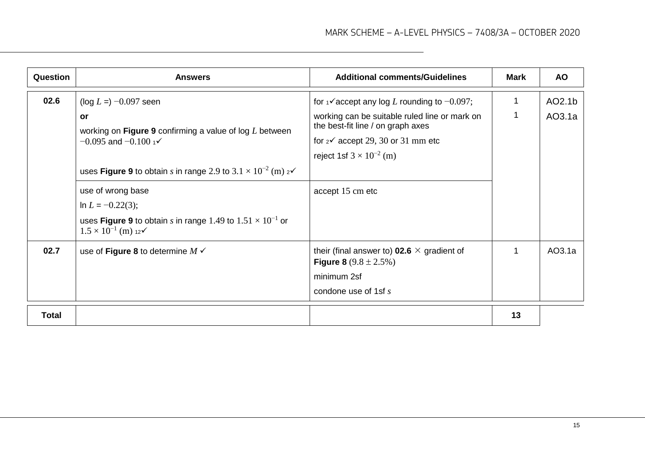| Question | <b>Answers</b>                                                                                                                                                                                                                                | <b>Additional comments/Guidelines</b>                                                                                                                                                        | Mark   | <b>AO</b>        |
|----------|-----------------------------------------------------------------------------------------------------------------------------------------------------------------------------------------------------------------------------------------------|----------------------------------------------------------------------------------------------------------------------------------------------------------------------------------------------|--------|------------------|
| 02.6     | $(\log L =) -0.097$ seen<br><b>or</b><br>working on Figure 9 confirming a value of $log L$ between<br>$-0.095$ and $-0.100$ 1 <sup>o</sup>                                                                                                    | for $\sqrt{4}$ accept any log L rounding to $-0.097$ ;<br>working can be suitable ruled line or mark on<br>the best-fit line / on graph axes<br>for $2\checkmark$ accept 29, 30 or 31 mm etc | 1<br>1 | AO2.1b<br>AO3.1a |
|          | uses Figure 9 to obtain s in range 2.9 to $3.1 \times 10^{-2}$ (m) $2\sqrt{ }$<br>use of wrong base<br>In $L = -0.22(3)$ ;<br>uses Figure 9 to obtain s in range 1.49 to $1.51 \times 10^{-1}$ or<br>$1.5 \times 10^{-1}$ (m) 12 $\checkmark$ | reject 1sf $3 \times 10^{-2}$ (m)<br>accept 15 cm etc                                                                                                                                        |        |                  |
| 02.7     | use of Figure 8 to determine $M \checkmark$                                                                                                                                                                                                   | their (final answer to) <b>02.6</b> $\times$ gradient of<br><b>Figure 8</b> $(9.8 \pm 2.5\%)$<br>minimum 2sf<br>condone use of 1sf $s$                                                       | 1      | AO3.1a           |
| Total    |                                                                                                                                                                                                                                               |                                                                                                                                                                                              | 13     |                  |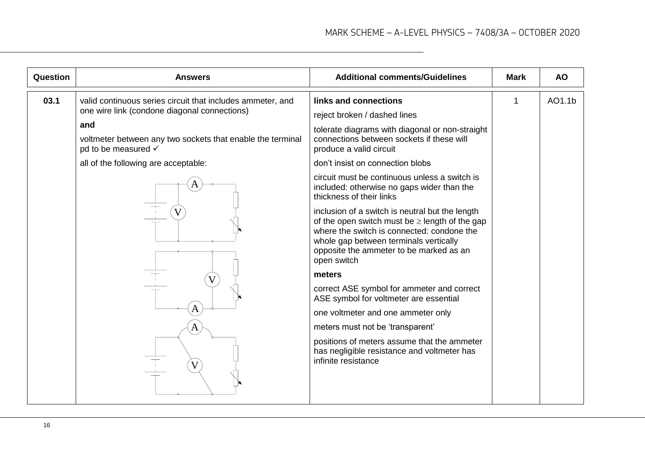| Question | <b>Answers</b>                                                                                                                                                                                                                                                     | <b>Additional comments/Guidelines</b>                                                                                                                                                                                                                                                                                                                                                                                                                                                                                                                                                                                                                                                                                                                                                                                                                                                                        | <b>Mark</b> | <b>AO</b> |
|----------|--------------------------------------------------------------------------------------------------------------------------------------------------------------------------------------------------------------------------------------------------------------------|--------------------------------------------------------------------------------------------------------------------------------------------------------------------------------------------------------------------------------------------------------------------------------------------------------------------------------------------------------------------------------------------------------------------------------------------------------------------------------------------------------------------------------------------------------------------------------------------------------------------------------------------------------------------------------------------------------------------------------------------------------------------------------------------------------------------------------------------------------------------------------------------------------------|-------------|-----------|
| 03.1     | valid continuous series circuit that includes ammeter, and<br>one wire link (condone diagonal connections)<br>and<br>voltmeter between any two sockets that enable the terminal<br>pd to be measured √<br>all of the following are acceptable:<br>Α<br>A<br>Α<br>V | links and connections<br>reject broken / dashed lines<br>tolerate diagrams with diagonal or non-straight<br>connections between sockets if these will<br>produce a valid circuit<br>don't insist on connection blobs<br>circuit must be continuous unless a switch is<br>included: otherwise no gaps wider than the<br>thickness of their links<br>inclusion of a switch is neutral but the length<br>of the open switch must be $\geq$ length of the gap<br>where the switch is connected: condone the<br>whole gap between terminals vertically<br>opposite the ammeter to be marked as an<br>open switch<br>meters<br>correct ASE symbol for ammeter and correct<br>ASE symbol for voltmeter are essential<br>one voltmeter and one ammeter only<br>meters must not be 'transparent'<br>positions of meters assume that the ammeter<br>has negligible resistance and voltmeter has<br>infinite resistance | 1           | AO1.1b    |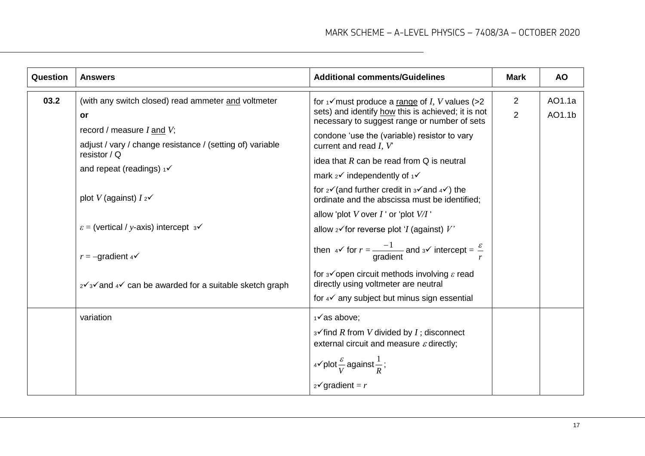| Question | <b>Answers</b>                                                                                                                                                                                                                                                                                                                                                                                                     | <b>Additional comments/Guidelines</b>                                                                                                                                                                                                                                                                                                                                                                                                                                                                                                                                                                                                                                                                                                                                                                                                           | <b>Mark</b>                      | <b>AO</b>        |
|----------|--------------------------------------------------------------------------------------------------------------------------------------------------------------------------------------------------------------------------------------------------------------------------------------------------------------------------------------------------------------------------------------------------------------------|-------------------------------------------------------------------------------------------------------------------------------------------------------------------------------------------------------------------------------------------------------------------------------------------------------------------------------------------------------------------------------------------------------------------------------------------------------------------------------------------------------------------------------------------------------------------------------------------------------------------------------------------------------------------------------------------------------------------------------------------------------------------------------------------------------------------------------------------------|----------------------------------|------------------|
| 03.2     | (with any switch closed) read ammeter and voltmeter<br><b>or</b><br>record / measure $I$ and $V$ ;<br>adjust / vary / change resistance / (setting of) variable<br>resistor / $Q$<br>and repeat (readings) $1\checkmark$<br>plot V (against) $I_2\checkmark$<br>$\varepsilon$ = (vertical / y-axis) intercept $3\checkmark$<br>$r = -\text{gradient } 4$<br>2√3√ and 4√ can be awarded for a suitable sketch graph | for $\sqrt{2}$ must produce a range of <i>I</i> , <i>V</i> values (>2<br>sets) and identify how this is achieved; it is not<br>necessary to suggest range or number of sets<br>condone 'use the (variable) resistor to vary<br>current and read $I, V$<br>idea that $R$ can be read from $Q$ is neutral<br>mark $2^{\checkmark}$ independently of $1^{\checkmark}$<br>for $2\sqrt{2}$ (and further credit in $3\sqrt{2}$ and $4\sqrt{2}$ ) the<br>ordinate and the abscissa must be identified;<br>allow 'plot V over $I$ ' or 'plot $V/I$ '<br>allow $2\checkmark$ for reverse plot ' <i>I</i> (against) $V$ '<br>then $4\checkmark$ for $r = \frac{-1}{\text{gradient}}$ and $3\checkmark$ intercept = $\frac{\varepsilon}{r}$<br>for $3\checkmark$ open circuit methods involving $\varepsilon$ read<br>directly using voltmeter are neutral | $\overline{2}$<br>$\overline{2}$ | AO1.1a<br>AO1.1b |
|          |                                                                                                                                                                                                                                                                                                                                                                                                                    | for 4√ any subject but minus sign essential                                                                                                                                                                                                                                                                                                                                                                                                                                                                                                                                                                                                                                                                                                                                                                                                     |                                  |                  |
|          | variation                                                                                                                                                                                                                                                                                                                                                                                                          | $1\checkmark$ as above;<br>$3\checkmark$ find R from V divided by I; disconnect<br>external circuit and measure $\varepsilon$ directly;<br>$4$ v plot $\frac{ε}{V}$ against $\frac{1}{R}$ ;<br>$2\checkmark$ gradient = r                                                                                                                                                                                                                                                                                                                                                                                                                                                                                                                                                                                                                       |                                  |                  |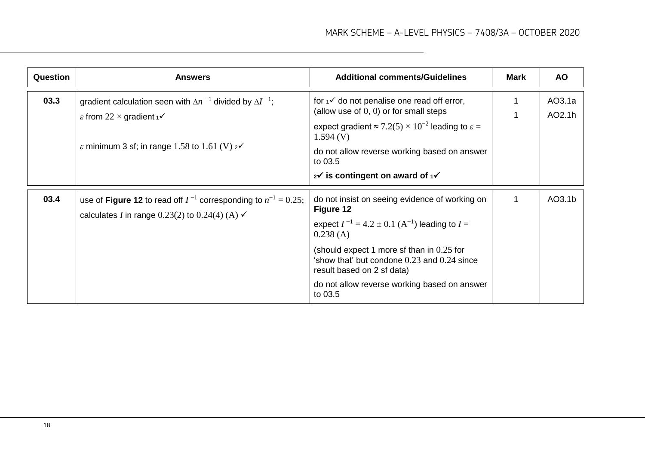| <b>Question</b> | <b>Answers</b>                                                                                                                                                                                          | <b>Additional comments/Guidelines</b>                                                                                                                                                                                                                                                                                                   | Mark        | <b>AO</b>        |
|-----------------|---------------------------------------------------------------------------------------------------------------------------------------------------------------------------------------------------------|-----------------------------------------------------------------------------------------------------------------------------------------------------------------------------------------------------------------------------------------------------------------------------------------------------------------------------------------|-------------|------------------|
| 03.3            | gradient calculation seen with $\Delta n^{-1}$ divided by $\Delta I^{-1}$ ;<br>$\varepsilon$ from 22 $\times$ gradient $\sqrt{\ }$<br>$\varepsilon$ minimum 3 sf; in range 1.58 to 1.61 (V) $2\sqrt{ }$ | for $\frac{1}{4}$ do not penalise one read off error,<br>(allow use of $(0, 0)$ or for small steps<br>expect gradient $\approx 7.2(5) \times 10^{-2}$ leading to $\varepsilon =$<br>1.594(V)<br>do not allow reverse working based on answer<br>to 03.5<br>$2^{\checkmark}$ is contingent on award of $1^{\checkmark}$                  |             | AO3.1a<br>AO2.1h |
| 03.4            | use of Figure 12 to read off $I^{-1}$ corresponding to $n^{-1} = 0.25$ ;<br>calculates I in range 0.23(2) to 0.24(4) (A) $\checkmark$                                                                   | do not insist on seeing evidence of working on<br>Figure 12<br>expect $I^{-1} = 4.2 \pm 0.1$ (A <sup>-1</sup> ) leading to $I =$<br>0.238(A)<br>(should expect 1 more sf than in $0.25$ for<br>'show that' but condone $0.23$ and $0.24$ since<br>result based on 2 sf data)<br>do not allow reverse working based on answer<br>to 03.5 | $\mathbf 1$ | AO3.1b           |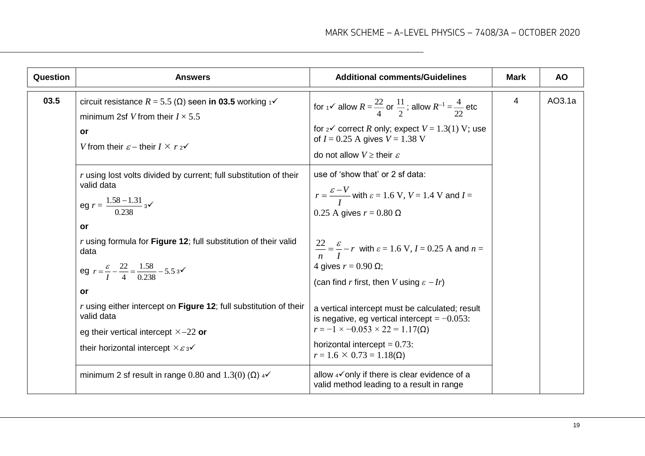| Question | <b>Answers</b>                                                                                                                                                                                                                                                                                                                                                                                                                                                                                                             | <b>Additional comments/Guidelines</b>                                                                                                                                                                                                                                                                                                                                                                                                                                                                                                                                                   | <b>Mark</b> | <b>AO</b> |
|----------|----------------------------------------------------------------------------------------------------------------------------------------------------------------------------------------------------------------------------------------------------------------------------------------------------------------------------------------------------------------------------------------------------------------------------------------------------------------------------------------------------------------------------|-----------------------------------------------------------------------------------------------------------------------------------------------------------------------------------------------------------------------------------------------------------------------------------------------------------------------------------------------------------------------------------------------------------------------------------------------------------------------------------------------------------------------------------------------------------------------------------------|-------------|-----------|
| 03.5     | circuit resistance $R = 5.5$ ( $\Omega$ ) seen in 03.5 working $\sqrt{ }$<br>minimum 2sf V from their $I \times 5.5$<br>or<br>V from their $\varepsilon$ – their $I \times r_2 \checkmark$                                                                                                                                                                                                                                                                                                                                 | for $1\sqrt{ }$ allow $R = \frac{22}{4}$ or $\frac{11}{2}$ ; allow $R^{-1} = \frac{4}{22}$ etc<br>for $2^{\checkmark}$ correct R only; expect $V = 1.3(1)$ V; use<br>of $I = 0.25$ A gives $V = 1.38$ V<br>do not allow $V \geq$ their $\varepsilon$                                                                                                                                                                                                                                                                                                                                    | 4           | AO3.1a    |
|          | r using lost volts divided by current; full substitution of their<br>valid data<br>eg $r = \frac{1.58 - 1.31}{0.238}$ 3 $\checkmark$<br>or<br>$r$ using formula for Figure 12; full substitution of their valid<br>data<br>eg $r = \frac{\varepsilon}{I} - \frac{22}{4} = \frac{1.58}{0.238} - 5.5$ 3 $\checkmark$<br>or<br>r using either intercept on Figure 12; full substitution of their<br>valid data<br>eg their vertical intercept $\times$ -22 or<br>their horizontal intercept $\times \varepsilon_3 \checkmark$ | use of 'show that' or 2 sf data:<br>$r = \frac{\varepsilon - V}{I}$ with $\varepsilon = 1.6$ V, $V = 1.4$ V and $I =$<br>$0.25$ A gives $r = 0.80$ $\Omega$<br>$\frac{ZZ}{n} = \frac{\varepsilon}{I} - r$ with $\varepsilon = 1.6$ V, $I = 0.25$ A and $n =$<br>4 gives $r = 0.90 \Omega$ ;<br>(can find r first, then V using $\varepsilon - Ir$ )<br>a vertical intercept must be calculated; result<br>is negative, eg vertical intercept = $-0.053$ :<br>$r = -1 \times -0.053 \times 22 = 1.17(\Omega)$<br>horizontal intercept = $0.73$ :<br>$r = 1.6 \times 0.73 = 1.18(\Omega)$ |             |           |
|          | minimum 2 sf result in range 0.80 and 1.3(0) ( $\Omega$ ) 4 $\checkmark$                                                                                                                                                                                                                                                                                                                                                                                                                                                   | allow 4√ only if there is clear evidence of a<br>valid method leading to a result in range                                                                                                                                                                                                                                                                                                                                                                                                                                                                                              |             |           |